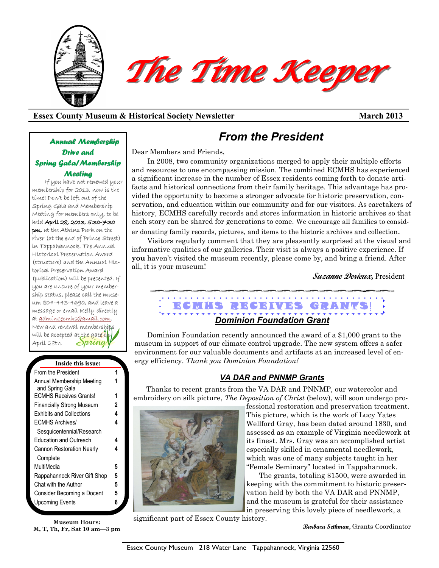

## **Essex County Museum & Historical Society Newsletter March 2013**

## *Annual Membership Drive and Spring Gala/Membership Meeting*

If you have not renewed your membership for 2013, now is the time! Don't be left out of the Spring Gala and Membership Meeting for members only, to be held April 28, 2013, 5:30-7:30 pm, at the Atkins Park on the river (at the end of Prince Street) in Tappahannock. The Annual Historical Preservation Award (structure) and the Annual Historical Preservation Award (publication) will be presented. If you are unsure of your membership status, please call the museum 804-443-4690, and leave a message or email Kelly directly at [admin1ecmhs@gmail.com.](mailto:admin1ecmhs@gmail.com)  New and renewal memberships will be accepted at the gate o  $\partial$ pring April 28th.

| Inside this issue:                           |   |
|----------------------------------------------|---|
| From the President                           |   |
| Annual Membership Meeting<br>and Spring Gala |   |
| <b>ECMHS Receives Grants!</b>                | 1 |
| <b>Financially Strong Museum</b>             | 2 |
| <b>Exhibits and Collections</b>              | 4 |
| <b>ECMHS Archives/</b>                       | 4 |
| Sesquicentennial/Research                    |   |
| <b>Education and Outreach</b>                | 4 |
| <b>Cannon Restoration Nearly</b>             | 4 |
| Complete                                     |   |
| MultiMedia                                   | 5 |
| Rappahannock River Gift Shop                 | 5 |
| Chat with the Author                         | 5 |
| Consider Becoming a Docent                   | 5 |
| <b>Upcoming Events</b>                       | 6 |
|                                              |   |

**Museum Hours: M, T, Th, Fr, Sat 10 am—3 pm**

# *From the President*

Dear Members and Friends,

In 2008, two community organizations merged to apply their multiple efforts and resources to one encompassing mission. The combined ECMHS has experienced a significant increase in the number of Essex residents coming forth to donate artifacts and historical connections from their family heritage. This advantage has provided the opportunity to become a stronger advocate for historic preservation, conservation, and education within our community and for our visitors. As caretakers of history, ECMHS carefully records and stores information in historic archives so that each story can be shared for generations to come. We encourage all families to consider donating family records, pictures, and items to the historic archives and collection.

Visitors regularly comment that they are pleasantly surprised at the visual and informative qualities of our galleries. Their visit is always a positive experience. If **you** haven't visited the museum recently, please come by, and bring a friend. After all, it is your museum!

**Suzanne Derieux,** President

# E CMHS RECEIVES GRANTS! *Dominion Foundation Grant*

Dominion Foundation recently announced the award of a \$1,000 grant to the museum in support of our climate control upgrade. The new system offers a safer environment for our valuable documents and artifacts at an increased level of energy efficiency. *Thank you Dominion Foundation!*

## *VA DAR and PNNMP Grants*

Thanks to recent grants from the VA DAR and PNNMP, our watercolor and embroidery on silk picture, *The Deposition of Christ* (below), will soon undergo pro-



fessional restoration and preservation treatment. This picture, which is the work of Lucy Yates Wellford Gray, has been dated around 1830, and assessed as an example of Virginia needlework at its finest. Mrs. Gray was an accomplished artist especially skilled in ornamental needlework, which was one of many subjects taught in her "Female Seminary" located in Tappahannock.

The grants, totaling \$1500, were awarded in keeping with the commitment to historic preservation held by both the VA DAR and PNNMP, and the museum is grateful for their assistance in preserving this lovely piece of needlework, a

significant part of Essex County history.

**Barbara Sethman,** Grants Coordinator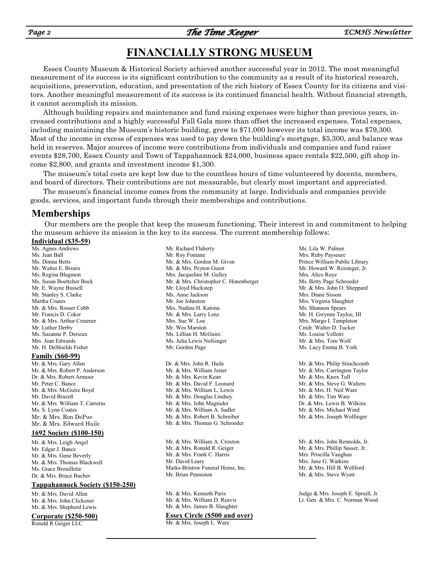# **FINANCIALLY STRONG MUSEUM**

Essex County Museum & Historical Society achieved another successful year in 2012. The most meaningful measurement of its success is its significant contribution to the community as a result of its historical research, acquisitions, preservation, education, and presentation of the rich history of Essex County for its citizens and visitors. Another meaningful measurement of its success is its continued financial health. Without financial strength, it cannot accomplish its mission.

Although building repairs and maintenance and fund raising expenses were higher than previous years, increased contributions and a highly successful Fall Gala more than offset the increased expenses. Total expenses, including maintaining the Museum's historic building, grew to \$71,000 however its total income was \$79,300. Most of the income in excess of expenses was used to pay down the building's mortgage, \$5,300, and balance was held in reserves. Major sources of income were contributions from individuals and companies and fund raiser events \$28,700, Essex County and Town of Tappahannock \$24,000, business space rentals \$22,500, gift shop income \$2,800, and grants and investment income \$1,300.

The museum's total costs are kept low due to the countless hours of time volunteered by docents, members, and board of directors. Their contributions are not measurable, but clearly most important and appreciated.

The museum's financial income comes from the community at large. Individuals and companies provide goods, services, and important funds through their memberships and contributions.

## **Memberships**

Our members are the people that keep the museum functioning. Their interest in and commitment to helping the museum achieve its mission is the key to its success. The current membership follows:

### **Individual (\$35-59)**

Ms. Agnes Andrews Ms. Jean Ball Ms. Donna Betts Mr. Walter E. Bissex Ms. Regina Blagmon Ms. Susan Boettcher Bock Mr. E. Wayne Bussell Mr. Stanley S. Clarke Martha Coates Mr. & Mrs. Rosser Cobb Mr. Francis D. Coker Mr. & Mrs. Arthur Creamer Mr. Luther Derby Ms. Suzanne P. Derieux Mrs. Jean Edwards Mr. H. DeShields Fisher

#### **Family (\$60-99)**

Mr. & Mrs. Gary Allen Mr. & Mrs. Robert P. Anderson Dr. & Mrs. Robert Armour Mr. Peter C. Bance Mr. & Mrs. McGuire Boyd Mr. David Brazell Mr. & Mrs. William T. Carreras Ms. S. Lynn Coates Mr. & Mrs. Ron DePue Mr. & Mrs. Edward Haile

### **1692 Society (\$100-150)**

Mr. & Mrs. Leigh Angel Mr. Edgar J. Bance Mr. & Mrs. Gene Beverly Mr. & Mrs. Thomas Blackwell Ms. Grace Brouillette Dr. & Mrs. Bruce Bucher

### **Tappahannock Society (\$150-250)**

Mr. & Mrs. David Allen Mr. & Mrs. John Clickener Mr. & Mrs. Shepherd Lewis

#### **Corporate (\$250-500)**

Ronald R Geiger LLC

Mr. Richard Flaherty Mr. Roy Fontane Mr. & Mrs. Gordon M. Given Mr. & Mrs. Peyton Guest Mrs. Jacqueline M. Gulley Mr. & Mrs. Christopher C. Honenberger Mr. Lloyd Huckstep Ms. Anne Jackson Mr. Joe Johnston Mrs. Nadine H. Katona Mr. & Mrs. Larry Lenz Mrs. Sue W. Loe Mr. Wes Marston Ms. Lillian H. McGuire Ms. Julia Lewis Nofsinger Mr. Gordon Page Dr. & Mrs. John R. Haile Mr. & Mrs. William Jester Mr. & Mrs. Kevin Kean

Mr. & Mrs. David F. Leonard Mr. & Mrs. William L. Lewis Mr. & Mrs. Douglas Lindsey Mr. & Mrs. John Magruder Mr. & Mrs. William A. Sadler Mr. & Mrs. Robert B. Schreiber Mr. & Mrs. Thomas G. Schroeder

Mr. & Mrs. William A. Croxton Mr. & Mrs. Ronald R. Geiger Mr. & Mrs. Frank C. Harris Mr. David Leary Marks-Bristow Funeral Home, Inc. Mr. Brian Penniston

Mr. & Mrs. Kenneth Paris Mr. & Mrs. William D. Reavis Mr. & Mrs. James B. Slaughter

#### **Essex Circle (\$500 and over)**

Mr. & Mrs. Joseph L. Ware

Ms. Lila W. Palmer Mrs. Ruby Payseure Prince William Public Library Mr. Howard W. Reisinger, Jr. Mrs. Alice Roye Ms. Betty Page Schroeder Mr. & Mrs. John O. Sheppard Mrs. Diane Sisson Mrs. Virginia Slaughter Ms. Shannon Spears Mr. H. Gwynne Tayloe, III Mrs. Margo I. Templeton Cmdr. Walter D. Tucker Ms. Louise Velletri Mr. & Mrs. Tom Wolf Ms. Lucy Emma B. York

Mr. & Mrs. Philip Stinchcomb Mr. & Mrs. Carrington Taylor Mr. & Mrs. Knox Tull Mr. & Mrs. Steve G. Walters Mr. & Mrs. H. Neil Ware Mr. & Mrs. Tim Ware Dr. & Mrs. Lewis B. Wilkins Mr. & Mrs. Michael Wind Mr. & Mrs. Joseph Wolfinger

Mr. & Mrs. John Rennolds, Jr. Mr. & Mrs. Phillip Sasser, Jr. Mrs. Priscilla Vaughan Mrs. Jane G. Watkins Mr. & Mrs. Hill B. Wellford Mr. & Mrs. Steve Wyatt

Judge & Mrs. Joseph E. Spruill, Jr. Lt. Gen. & Mrs. C. Norman Wood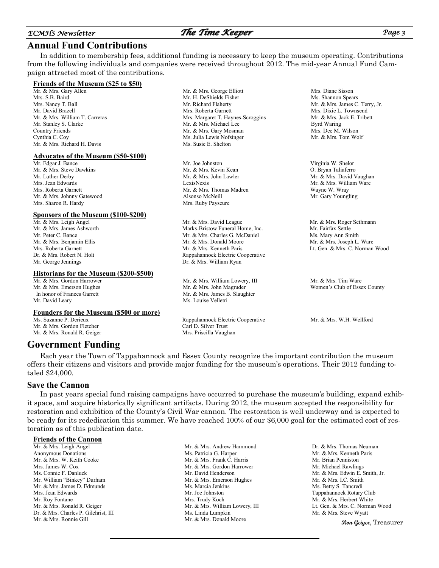## *ECMHS Newsletter The Time Keeper Page 3*

## **Annual Fund Contributions**

In addition to membership fees, additional funding is necessary to keep the museum operating. Contributions from the following individuals and companies were received throughout 2012. The mid-year Annual Fund Campaign attracted most of the contributions.

> Mr. H. DeShields Fisher Mr. Richard Flaherty Mrs. Roberta Garnett

> Mr. & Mrs. Michael Lee

Ms. Julia Lewis Nofsinger Ms. Susie E. Shelton

Mr. & Mrs. Thomas Madren

Mr. & Mrs. David League Marks-Bristow Funeral Home, Inc. Mr. & Mrs. Charles G. McDaniel Mr. & Mrs. Donald Moore Mr. & Mrs. Kenneth Paris Rappahannock Electric Cooperative Dr. & Mrs. William Ryan

Mr. & Mrs. William Lowery, III Mr. & Mrs. John Magruder Mr. & Mrs. James B. Slaughter

Rappahannock Electric Cooperative

Ms. Louise Velletri

Carl D. Silver Trust Mrs. Priscilla Vaughan

Mr. Joe Johnston Mr. & Mrs. Kevin Kean Mr. & Mrs. John Lawler

Alsonso McNeill Mrs. Ruby Payseure

LexisNexis

#### **Friends of the Museum (\$25 to \$50)**

Mr. & Mrs. Gary Allen Mrs. S.B. Baird Mrs. Nancy T. Ball Mr. David Brazell Mr. & Mrs. William T. Carreras Mr. Stanley S. Clarke Country Friends Cynthia C. Coy Mr. & Mrs. Richard H. Davis

#### **Advocates of the Museum (\$50-\$100)**

Mr. Edgar J. Bance Mr. & Mrs. Steve Dawkins Mr. Luther Derby Mrs. Jean Edwards Mrs. Roberta Garnett Mr. & Mrs. Johnny Gatewood Mrs. Sharon R. Hardy

#### **Sponsors of the Museum (\$100-\$200)**

Mr. & Mrs. Leigh Angel Mr. & Mrs. James Ashworth Mr. Peter C. Bance Mr. & Mrs. Benjamin Ellis Mrs. Roberta Garnett Dr. & Mrs. Robert N. Holt Mr. George Jennings

#### **Historians for the Museum (\$200-\$500)**

Mr. & Mrs. Gordon Harrower Mr. & Mrs. Emerson Hughes In honor of Frances Garrett Mr. David Leary

#### **Founders for the Museum (\$500 or more)**

Ms. Suzanne P. Derieux Mr. & Mrs. Gordon Fletcher Mr. & Mrs. Ronald R. Geiger

## **Government Funding**

Each year the Town of Tappahannock and Essex County recognize the important contribution the museum offers their citizens and visitors and provide major funding for the museum's operations. Their 2012 funding totaled \$24,000.

### **Save the Cannon**

In past years special fund raising campaigns have occurred to purchase the museum's building, expand exhibit space, and acquire historically significant artifacts. During 2012, the museum accepted the responsibility for restoration and exhibition of the County's Civil War cannon. The restoration is well underway and is expected to be ready for its rededication this summer. We have reached 100% of our \$6,000 goal for the estimated cost of restoration as of this publication date.

### **Friends of the Cannon**

Mr. & Mrs. Leigh Angel Anonymous Donations Mr. & Mrs. W. Keith Cooke Mrs. James W. Cox Ms. Connie F. Danluck Mr. William "Binkey" Durham Mr. & Mrs. James D. Edmunds Mrs. Jean Edwards Mr. Roy Fontane Mr. & Mrs. Ronald R. Geiger Dr. & Mrs. Charles P. Gilchrist, III Mr. & Mrs. Ronnie Gill

Mr. & Mrs. Andrew Hammond Ms. Patricia G. Harper Mr. & Mrs. Frank C. Harris Mr. & Mrs. Gordon Harrower Mr. David Henderson Mr. & Mrs. Emerson Hughes Ms. Marcia Jenkins Mr. Joe Johnston Mrs. Trudy Koch Mr. & Mrs. William Lowery, III Ms. Linda Lumpkin Mr. & Mrs. Donald Moore

Dr. & Mrs. Thomas Neuman Mr. & Mrs. Kenneth Paris Mr. Brian Penniston Mr. Michael Rawlings Mr. & Mrs. Edwin E. Smith, Jr. Mr. & Mrs. I.C. Smith Ms. Betty S. Tancredi Tappahannock Rotary Club Mr. & Mrs. Herbert White Lt. Gen. & Mrs. C. Norman Wood Mr. & Mrs. Steve Wyatt

**Ron Geiger,** Treasurer

Mr. & Mrs. James C. Terry, Jr. Mr. & Mrs. Jack E. Tribett

Virginia W. Shelor Mr. & Mrs. David Vaughan

Mr. & Mrs. Roger Sethmann Mr. Fairfax Settle Ms. Mary Ann Smith Mr. & Mrs. Joseph L. Ware Lt. Gen. & Mrs. C. Norman Wood

Mr. & Mrs. Tim Ware Women's Club of Essex County

Mr. & Mrs. W.H. Wellford

Mr. & Mrs. George Elliott Mrs. Margaret T. Haynes-Scroggins Mr. & Mrs. Gary Mosman Mrs. Diane Sisson Ms. Shannon Spears Mrs. Dixie L. Townsend Byrd Waring

Mrs. Dee M. Wilson Mr. & Mrs. Tom Wolf

O. Bryan Taliaferro Mr. & Mrs. William Ware Wayne W. Wray Mr. Gary Youngling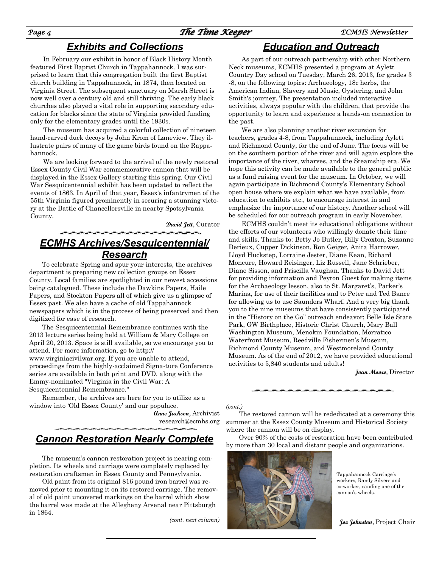# *Exhibits and Collections Education and Outreach*

In February our exhibit in honor of Black History Month featured First Baptist Church in Tappahannock. I was surprised to learn that this congregation built the first Baptist church building in Tappahannock, in 1874, then located on Virginia Street. The subsequent sanctuary on Marsh Street is now well over a century old and still thriving. The early black churches also played a vital role in supporting secondary education for blacks since the state of Virginia provided funding only for the elementary grades until the 1930s.

The museum has acquired a colorful collection of nineteen hand-carved duck decoys by John Krom of Laneview. They illustrate pairs of many of the game birds found on the Rappahannock.

We are looking forward to the arrival of the newly restored Essex County Civil War commemorative cannon that will be displayed in the Essex Gallery starting this spring. Our Civil War Sesquicentennial exhibit has been updated to reflect the events of 1863. In April of that year, Essex's infantrymen of the 55th Virginia figured prominently in securing a stunning victory at the Battle of Chancellorsville in nearby Spotsylvania County.

**David Jett,** Curator

# *ECMHS Archives/Sesquicentennial/ Research*

To celebrate Spring and spur your interests, the archives department is preparing new collection groups on Essex County. Local families are spotlighted in our newest accessions being catalogued. These include the Dawkins Papers, Haile Papers, and Stockton Papers all of which give us a glimpse of Essex past. We also have a cache of old Tappahannock newspapers which is in the process of being preserved and then digitized for ease of research.

The Sesquicentennial Remembrance continues with the 2013 lecture series being held at William & Mary College on April 20, 2013. Space is still available, so we encourage you to attend. For more information, go to http:// www.virginiacivilwar.org. If you are unable to attend, proceedings from the highly-acclaimed Signa-ture Conference series are available in both print and DVD, along with the Emmy-nominated "Virginia in the Civil War: A Sesquicentennial Remembrance."

Remember, the archives are here for you to utilize as a window into 'Old Essex County' and our populace.

> **Anne Jackson,** Archivist [research@ecmhs.org](mailto:research@ecmhs.org)

# *Cannon Restoration Nearly Complete*

The museum's cannon restoration project is nearing completion. Its wheels and carriage were completely replaced by restoration craftsmen in Essex County and Pennsylvania.

Old paint from its original 816 pound iron barrel was removed prior to mounting it on its restored carriage. The removal of old paint uncovered markings on the barrel which show the barrel was made at the Allegheny Arsenal near Pittsburgh in 1864.

*(cont. next column)*

As part of our outreach partnership with other Northern Neck museums, ECMHS presented a program at Aylett Country Day school on Tuesday, March 26, 2013, for grades 3 -8, on the following topics: Archaeology, 18c herbs, the American Indian, Slavery and Music, Oystering, and John Smith's journey. The presentation included interactive activities, always popular with the children, that provide the opportunity to learn and experience a hands-on connection to the past.

We are also planning another river excursion for teachers, grades 4-8, from Tappahannock, including Aylett and Richmond County, for the end of June. The focus will be on the southern portion of the river and will again explore the importance of the river, wharves, and the Steamship era. We hope this activity can be made available to the general public as a fund raising event for the museum. In October, we will again participate in Richmond County's Elementary School open house where we explain what we have available, from education to exhibits etc., to encourage interest in and emphasize the importance of our history. Another school will be scheduled for our outreach program in early November.

ECMHS couldn't meet its educational obligations without the efforts of our volunteers who willingly donate their time and skills. Thanks to: Betty Jo Butler, Billy Croxton, Suzanne Derieux, Cupper Dickinson, Ron Geiger, Anita Harrower, Lloyd Huckstep, Lorraine Jester, Diane Kean, Richard Moncure, Howard Reisinger, Liz Russell, Jane Schrieber, Diane Sisson, and Priscilla Vaughan. Thanks to David Jett for providing information and Peyton Guest for making items for the Archaeology lesson, also to St. Margaret's, Parker's Marina, for use of their facilities and to Peter and Ted Bance for allowing us to use Saunders Wharf. And a very big thank you to the nine museums that have consistently participated in the "History on the Go" outreach endeavor; Belle Isle State Park, GW Birthplace, Historic Christ Church, Mary Ball Washington Museum, Menokin Foundation, Morratico Waterfront Museum, Reedville Fishermen's Museum, Richmond County Museum, and Westmoreland County Museum. As of the end of 2012, we have provided educational activities to 5,840 students and adults!

**Joan Moore,** Director

*(cont.)*

The restored cannon will be rededicated at a ceremony this summer at the Essex County Museum and Historical Society where the cannon will be on display.

Over 90% of the costs of restoration have been contributed by more than 30 local and distant people and organizations.



Tappahannock Carriage's workers, Randy Silvers and co-worker, sanding one of the cannon's wheels.

 **Joe Johnston,** Project Chair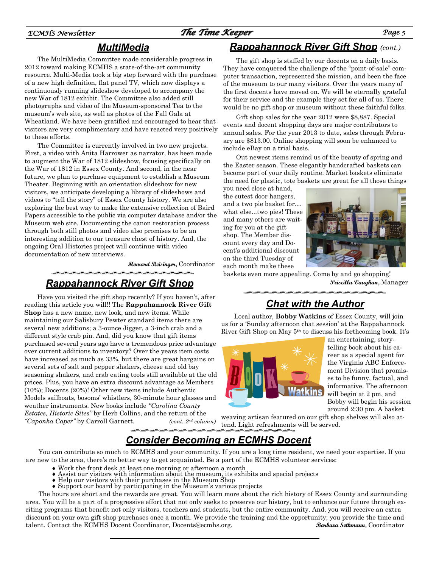## *ECMHS Newsletter The Time Keeper Page 5*

# *MultiMedia*

The MultiMedia Committee made considerable progress in 2012 toward making ECMHS a state-of-the-art community resource. Multi-Media took a big step forward with the purchase of a new high definition, flat panel TV, which now displays a continuously running slideshow developed to accompany the new War of 1812 exhibit. The Committee also added still photographs and video of the Museum-sponsored Tea to the museum's web site, as well as photos of the Fall Gala at Wheatland. We have been gratified and encouraged to hear that visitors are very complimentary and have reacted very positively to these efforts.

The Committee is currently involved in two new projects. First, a video with Anita Harrower as narrator, has been made to augment the War of 1812 slideshow, focusing specifically on the War of 1812 in Essex County. And second, in the near future, we plan to purchase equipment to establish a Museum Theater. Beginning with an orientation slideshow for new visitors, we anticipate developing a library of slideshows and videos to "tell the story" of Essex County history. We are also exploring the best way to make the extensive collection of Baird Papers accessible to the public via computer database and/or the Museum web site. Documenting the canon restoration process through both still photos and video also promises to be an interesting addition to our treasure chest of history. And, the ongoing Oral Histories project will continue with video documentation of new interviews.

**Howard Reisinger,** Coordinator

# *Rappahannock River Gift Shop*

Have you visited the gift shop recently? If you haven't, after reading this article you will!! The **Rappahannock River Gift Shop** has a new name, new look, and new items. While maintaining our Salisbury Pewter standard items there are several new additions; a 3-ounce Jigger, a 3-inch crab and a different style crab pin. And, did you know that gift items purchased several years ago have a tremendous price advantage over current additions to inventory? Over the years item costs have increased as much as 33%, but there are great bargains on several sets of salt and pepper shakers, cheese and old bay seasoning shakers, and crab eating tools still available at the old prices. Plus, you have an extra discount advantage as Members (10%); Docents (20%)! Other new items include Authentic Models sailboats, bosoms' whistlers, 30-minute hour glasses and weather instruments. New books include *"Carolina County Estates, Historic Sites"* by Herb Collins, and the return of the *"Caponka Caper"* by Carroll Garnett. *(cont. 2nd column)*

## *Rappahannock River Gift Shop (cont.)*

The gift shop is staffed by our docents on a daily basis. They have conquered the challenge of the "point-of-sale" computer transaction, represented the mission, and been the face of the museum to our many visitors. Over the years many of the first docents have moved on. We will be eternally grateful for their service and the example they set for all of us. There would be no gift shop or museum without these faithful folks.

Gift shop sales for the year 2012 were \$8,887. Special events and docent shopping days are major contributors to annual sales. For the year 2013 to date, sales through February are \$813.00. Online shopping will soon be enhanced to include eBay on a trial basis.

Out newest items remind us of the beauty of spring and the Easter season. These elegantly handcrafted baskets can become part of your daily routine. Market baskets eliminate the need for plastic, tote baskets are great for all those things

you need close at hand, the cutest door hangers, and a two pie basket for… what else...two pies! These and many others are waiting for you at the gift shop. The Member discount every day and Docent's additional discount on the third Tuesday of each month make these



baskets even more appealing. Come by and go shopping! **Priscilla Vaughan,** Manager

# *Chat with the Author*

Local author, **Bobby Watkins** of Essex County, will join us for a 'Sunday afternoon chat session' at the Rappahannock River Gift Shop on May 5th to discuss his forthcoming book. It's



an entertaining, storytelling book about his career as a special agent for the Virginia ABC Enforcement Division that promises to be funny, factual, and informative. The afternoon will begin at 2 pm, and Bobby will begin his session around 2:30 pm. A basket

weaving artisan featured on our gift shop shelves will also attend. Light refreshments will be served*.*

# *Consider Becoming an ECMHS Docent*

You can contribute so much to ECMHS and your community. If you are a long time resident, we need your expertise. If you are new to the area, there's no better way to get acquainted. Be a part of the ECMHS volunteer services:

- Work the front desk at least one morning or afternoon a month
- Assist our visitors with information about the museum, its exhibits and special projects
- Help our visitors with their purchases in the Museum Shop
- Support our board by participating in the Museum's various projects

The hours are short and the rewards are great. You will learn more about the rich history of Essex County and surrounding area. You will be a part of a progressive effort that not only seeks to preserve our history, but to enhance our future through exciting programs that benefit not only visitors, teachers and students, but the entire community. And, you will receive an extra discount on your own gift shop purchases once a month. We provide the training and the opportunity; you provide the time and talent. Contact the ECMHS Docent Coordinator, Docents@ecmhs.org. **Barbara Sethmann,** Coordinator